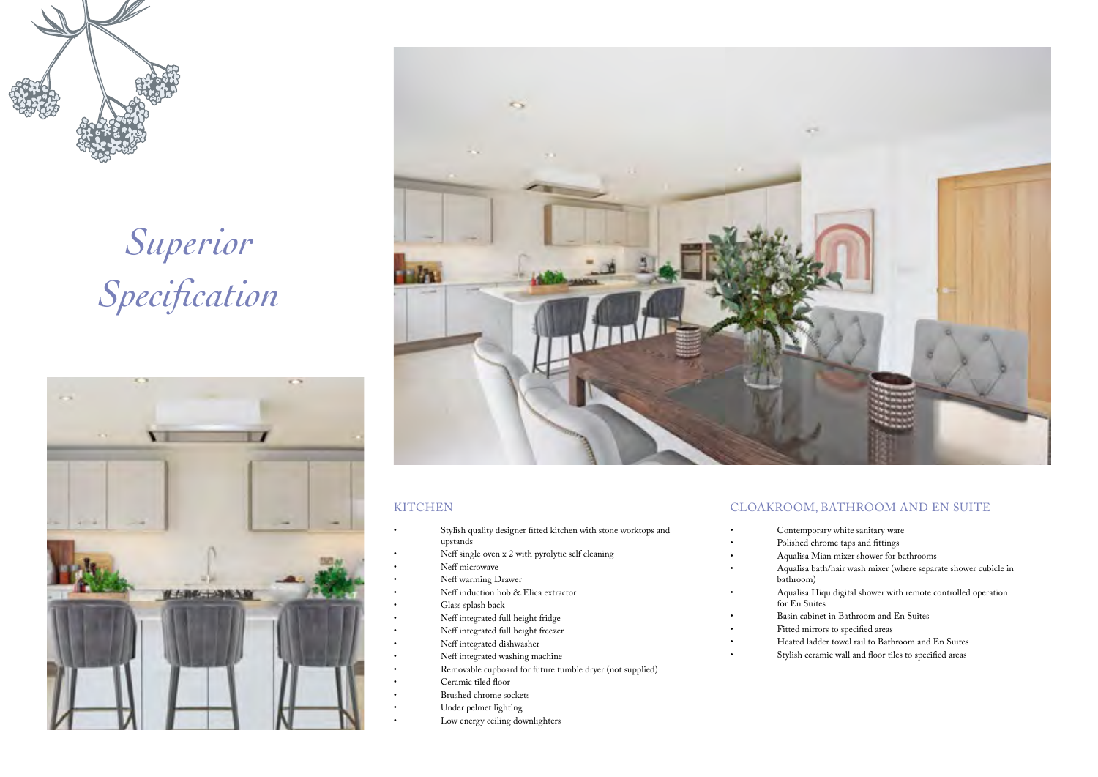

# *Superior Specification*





#### **KITCHEN**

- Stylish quality designer fitted kitchen with stone worktops and upstands
- Neff single oven x 2 with pyrolytic self cleaning
- Neff microwave
- Neff warming Drawer
- Neff induction hob & Elica extractor
- Glass splash back
- Neff integrated full height fridge
- Neff integrated full height freezer
- Neff integrated dishwasher
- Neff integrated washing machine
- Removable cupboard for future tumble dryer (not supplied)
- Ceramic tiled floor
- Brushed chrome sockets
- Under pelmet lighting
- Low energy ceiling downlighters

## CLOAKROOM, BATHROOM AND EN SUITE

- Contemporary white sanitary ware
- Polished chrome taps and fittings
- Aqualisa Mian mixer shower for bathrooms
- Aqualisa bath/hair wash mixer (where separate shower cubicle in bathroom)
- Aqualisa Hiqu digital shower with remote controlled operation for En Suites
- Basin cabinet in Bathroom and En Suites
- Fitted mirrors to specified areas
- Heated ladder towel rail to Bathroom and En Suites
- Stylish ceramic wall and floor tiles to specified areas